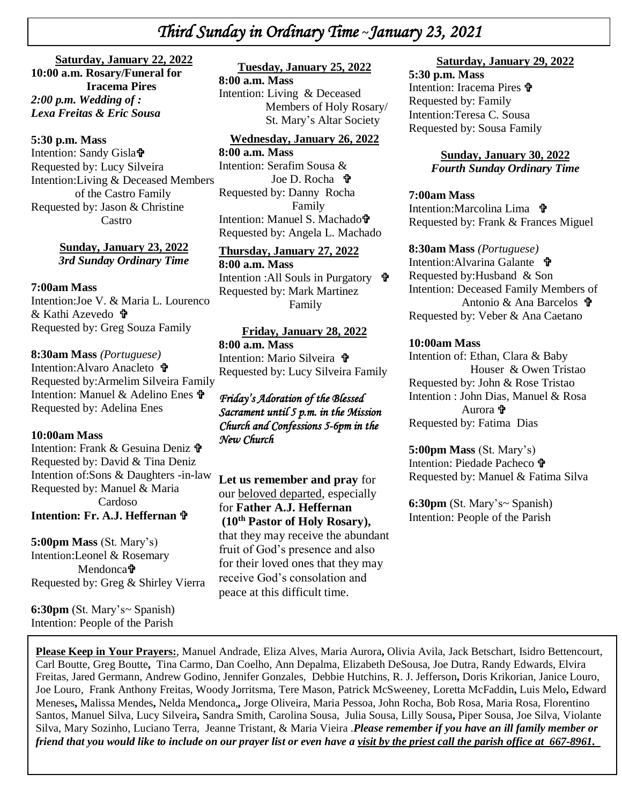# *Third Sunday in Ordinary Time* **~***January 23, 2021*

**+**  *2:00 p.m. Wedding of :* **Saturday, January 22, 2022 10:00 a.m. Rosary/Funeral for Iracema Pires** *Lexa Freitas & Eric Sousa* 

# *\* **5:30 p.m. Mass**

Intention: Sandy Gisla Requested by: Lucy Silveira Intention:Living & Deceased Members of the Castro Family Requested by: Jason & Christine Castro

> **Sunday, January 23, 2022** *3rd Sunday Ordinary Time*

#### **7:00am Mass**

Intention:Joe V. & Maria L. Lourenco & Kathi Azevedo Requested by: Greg Souza Family

#### **8:30am Mass** *(Portuguese)*

Intention: Alvaro Anacleto **+** Requested by:Armelim Silveira Family Intention: Manuel & Adelino Enes Requested by: Adelina Enes

#### **10:00am Mass**

Intention: Frank & Gesuina Deniz Requested by: David & Tina Deniz Intention of:Sons & Daughters -in-law Requested by: Manuel & Maria Cardoso **Intention: Fr. A.J. Heffernan**

**5:00pm Mass** (St. Mary's) Intention:Leonel & Rosemary Mendonca<sup>t</sup> Requested by: Greg & Shirley Vierra

**6:30pm** (St. Mary's~ Spanish) Intention: People of the Parish

### **Tuesday, January 25, 2022**

**8:00 a.m. Mass** Intention: Living & Deceased Members of Holy Rosary/ St. Mary's Altar Society

#### **Wednesday, January 26, 2022**

**8:00 a.m. Mass** Intention: Serafim Sousa & Joe D. Rocha **t** Requested by: Danny Rocha Family Intention: Manuel S. Machado Requested by: Angela L. Machado

**Thursday, January 27, 2022 8:00 a.m. Mass** Intention :All Souls in Purgatory Requested by: Mark Martinez Family

**Friday, January 28, 2022 8:00 a.m. Mass** Intention: Mario Silveira **t** Requested by: Lucy Silveira Family

### *Friday's Adoration of the Blessed Sacrament until 5 p.m. in the Mission Church and Confessions 5-6pm in the New Church*

**Let us remember and pray** for our beloved departed, especially for **Father A.J. Heffernan (10th Pastor of Holy Rosary),**  that they may receive the abundant fruit of God's presence and also for their loved ones that they may receive God's consolation and

peace at this difficult time.

### **Saturday, January 29, 2022**

**5:30 p.m. Mass**  Intention: Iracema Pires Requested by: Family Intention:Teresa C. Sousa Requested by: Sousa Family

> **Sunday, January 30, 2022** *Fourth Sunday Ordinary Time*

#### **7:00am Mass**

Intention:Marcolina Lima **t** Requested by: Frank & Frances Miguel

#### **8:30am Mass** *(Portuguese)*

Intention:Alvarina Galante Requested by:Husband & Son Intention: Deceased Family Members of Antonio & Ana Barcelos Requested by: Veber & Ana Caetano

#### **10:00am Mass**

Intention of: Ethan, Clara & Baby Houser & Owen Tristao Requested by: John & Rose Tristao Intention : John Dias, Manuel & Rosa Aurora  $\ddot{\mathbf{r}}$ Requested by: Fatima Dias

**5:00pm Mass** (St. Mary's) Intention: Piedade Pacheco Requested by: Manuel & Fatima Silva

**6:30pm** (St. Mary's~ Spanish) Intention: People of the Parish

**Please Keep in Your Prayers:**, Manuel Andrade, Eliza Alves, Maria Aurora**,** Olivia Avila, Jack Betschart, Isidro Bettencourt, Carl Boutte, Greg Boutte**,** Tina Carmo, Dan Coelho, Ann Depalma, Elizabeth DeSousa, Joe Dutra, Randy Edwards, Elvira Freitas, Jared Germann, Andrew Godino, Jennifer Gonzales, Debbie Hutchins, R. J. Jefferson**,** Doris Krikorian, Janice Louro, Joe Louro, Frank Anthony Freitas, Woody Jorritsma, Tere Mason, Patrick McSweeney, Loretta McFaddin**,** Luis Melo**,** Edward Meneses**,** Malissa Mendes**,** Nelda Mendonca,*,* Jorge Oliveira, Maria Pessoa, John Rocha, Bob Rosa, Maria Rosa, Florentino Santos, Manuel Silva, Lucy Silveira**,** Sandra Smith, Carolina Sousa, Julia Sousa, Lilly Sousa**,** Piper Sousa, Joe Silva, Violante Silva, Mary Sozinho, Luciano Terra, Jeanne Tristant, & Maria Vieira .*Please remember if you have an ill family member or friend that you would like to include on our prayer list or even have a visit by the priest call the parish office at 667-8961.*